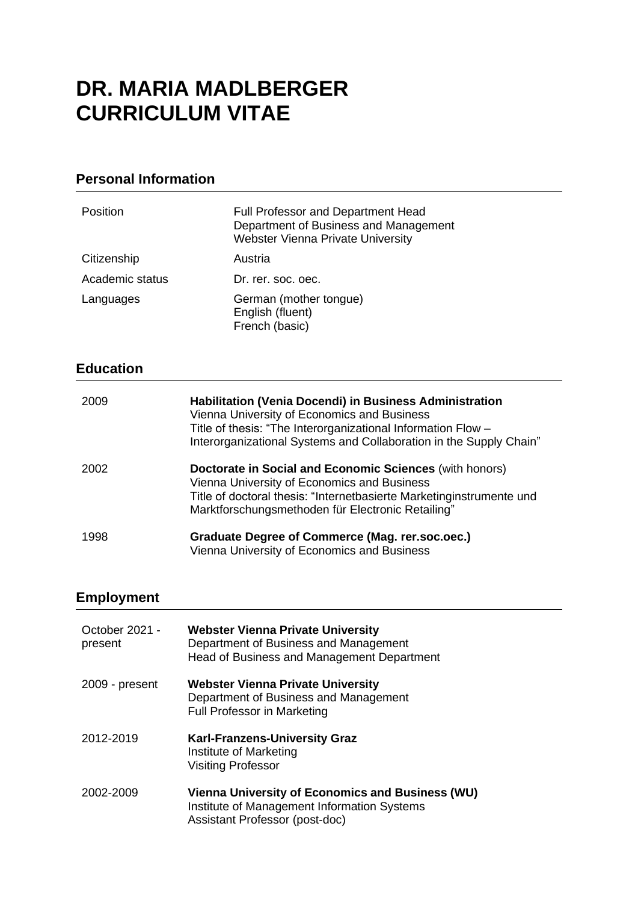# **DR. MARIA MADLBERGER CURRICULUM VITAE**

### **Personal Information**

| Position         | <b>Full Professor and Department Head</b><br>Department of Business and Management<br><b>Webster Vienna Private University</b>                                                                                                               |
|------------------|----------------------------------------------------------------------------------------------------------------------------------------------------------------------------------------------------------------------------------------------|
| Citizenship      | Austria                                                                                                                                                                                                                                      |
| Academic status  | Dr. rer. soc. oec.                                                                                                                                                                                                                           |
| Languages        | German (mother tongue)<br>English (fluent)<br>French (basic)                                                                                                                                                                                 |
| <b>Education</b> |                                                                                                                                                                                                                                              |
|                  |                                                                                                                                                                                                                                              |
| 2009             | Habilitation (Venia Docendi) in Business Administration<br>Vienna University of Economics and Business<br>Title of thesis: "The Interorganizational Information Flow -<br>Interorganizational Systems and Collaboration in the Supply Chain" |
| 2002             | Doctorate in Social and Economic Sciences (with honors)<br>Vienna University of Economics and Business<br>Title of doctoral thesis: "Internetbasierte Marketinginstrumente und<br>Marktforschungsmethoden für Electronic Retailing"          |

# **Employment**

| October 2021 -<br>present | <b>Webster Vienna Private University</b><br>Department of Business and Management<br>Head of Business and Management Department          |
|---------------------------|------------------------------------------------------------------------------------------------------------------------------------------|
| 2009 - present            | <b>Webster Vienna Private University</b><br>Department of Business and Management<br><b>Full Professor in Marketing</b>                  |
| 2012-2019                 | <b>Karl-Franzens-University Graz</b><br>Institute of Marketing<br><b>Visiting Professor</b>                                              |
| 2002-2009                 | <b>Vienna University of Economics and Business (WU)</b><br>Institute of Management Information Systems<br>Assistant Professor (post-doc) |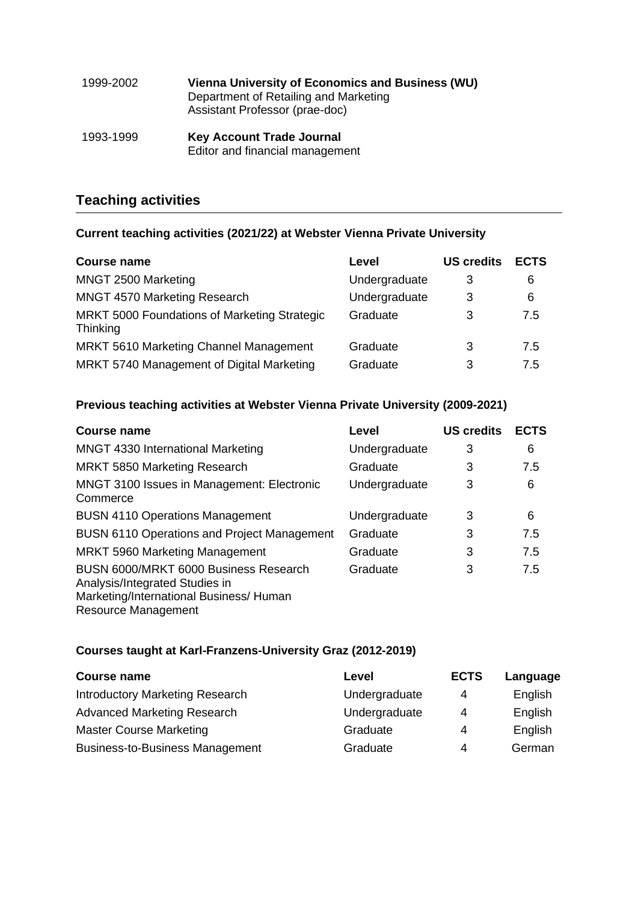| 1999-2002 | <b>Vienna University of Economics and Business (WU)</b><br>Department of Retailing and Marketing<br>Assistant Professor (prae-doc) |
|-----------|------------------------------------------------------------------------------------------------------------------------------------|
| 1993-1999 | <b>Key Account Trade Journal</b><br>Editor and financial management                                                                |

# **Teaching activities**

### **Current teaching activities (2021/22) at Webster Vienna Private University**

| <b>Course name</b>                                              | Level         | <b>US credits</b> | <b>ECTS</b> |
|-----------------------------------------------------------------|---------------|-------------------|-------------|
| MNGT 2500 Marketing                                             | Undergraduate | 3                 | 6           |
| MNGT 4570 Marketing Research                                    | Undergraduate | 3                 | 6           |
| MRKT 5000 Foundations of Marketing Strategic<br><b>Thinking</b> | Graduate      | 3                 | 7.5         |
| <b>MRKT 5610 Marketing Channel Management</b>                   | Graduate      | 3                 | 7.5         |
| MRKT 5740 Management of Digital Marketing                       | Graduate      | 3                 | 7.5         |

#### **Previous teaching activities at Webster Vienna Private University (2009-2021)**

| <b>Course name</b>                                                                                                                        | Level         | <b>US credits</b> | <b>ECTS</b> |
|-------------------------------------------------------------------------------------------------------------------------------------------|---------------|-------------------|-------------|
| MNGT 4330 International Marketing                                                                                                         | Undergraduate | 3                 | 6           |
| MRKT 5850 Marketing Research                                                                                                              | Graduate      | 3                 | 7.5         |
| MNGT 3100 Issues in Management: Electronic<br>Commerce                                                                                    | Undergraduate | 3                 | 6           |
| <b>BUSN 4110 Operations Management</b>                                                                                                    | Undergraduate | 3                 | 6           |
| <b>BUSN 6110 Operations and Project Management</b>                                                                                        | Graduate      | 3                 | 7.5         |
| <b>MRKT 5960 Marketing Management</b>                                                                                                     | Graduate      | 3                 | 7.5         |
| BUSN 6000/MRKT 6000 Business Research<br>Analysis/Integrated Studies in<br>Marketing/International Business/ Human<br>Resource Management | Graduate      | 3                 | 7.5         |

### **Courses taught at Karl-Franzens-University Graz (2012-2019)**

| <b>Course name</b>                     | Level         | <b>ECTS</b> | Language |
|----------------------------------------|---------------|-------------|----------|
| Introductory Marketing Research        | Undergraduate | 4           | English  |
| <b>Advanced Marketing Research</b>     | Undergraduate | 4           | English  |
| <b>Master Course Marketing</b>         | Graduate      | 4           | English  |
| <b>Business-to-Business Management</b> | Graduate      | 4           | German   |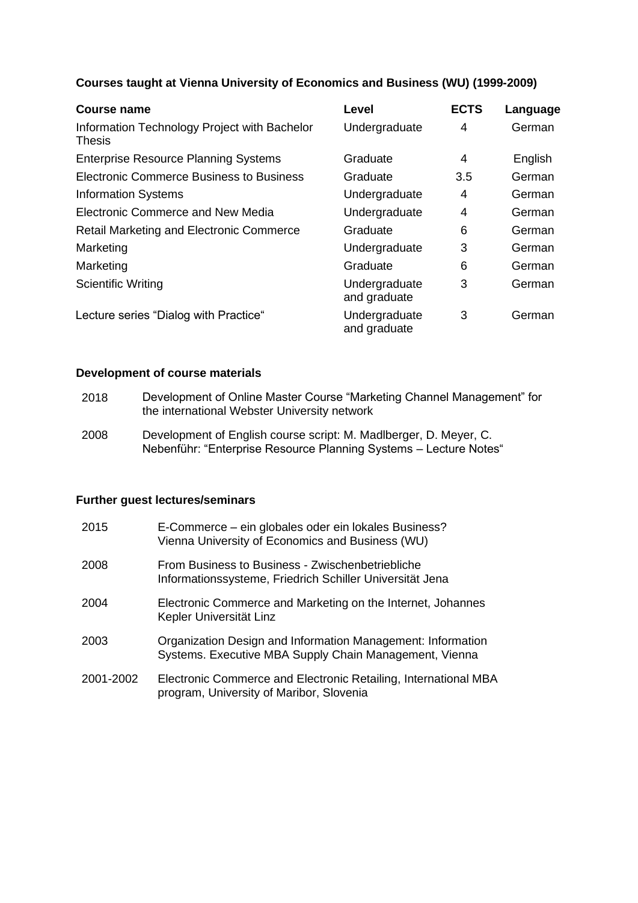#### **Courses taught at Vienna University of Economics and Business (WU) (1999-2009)**

| <b>Course name</b>                                            | <b>Level</b>                  | <b>ECTS</b> | Language |
|---------------------------------------------------------------|-------------------------------|-------------|----------|
| Information Technology Project with Bachelor<br><b>Thesis</b> | Undergraduate                 | 4           | German   |
| <b>Enterprise Resource Planning Systems</b>                   | Graduate                      | 4           | English  |
| <b>Electronic Commerce Business to Business</b>               | Graduate                      | 3.5         | German   |
| <b>Information Systems</b>                                    | Undergraduate                 | 4           | German   |
| <b>Electronic Commerce and New Media</b>                      | Undergraduate                 | 4           | German   |
| <b>Retail Marketing and Electronic Commerce</b>               | Graduate                      | 6           | German   |
| Marketing                                                     | Undergraduate                 | 3           | German   |
| Marketing                                                     | Graduate                      | 6           | German   |
| <b>Scientific Writing</b>                                     | Undergraduate<br>and graduate | 3           | German   |
| Lecture series "Dialog with Practice"                         | Undergraduate<br>and graduate | 3           | German   |

### **Development of course materials**

| 2018 | Development of Online Master Course "Marketing Channel Management" for |
|------|------------------------------------------------------------------------|
|      | the international Webster University network                           |

2008 Development of English course script: M. Madlberger, D. Meyer, C. Nebenführ: "Enterprise Resource Planning Systems – Lecture Notes"

#### **Further guest lectures/seminars**

| 2015      | E-Commerce – ein globales oder ein lokales Business?<br>Vienna University of Economics and Business (WU)              |
|-----------|-----------------------------------------------------------------------------------------------------------------------|
| 2008      | From Business to Business - Zwischenbetriebliche<br>Informationssysteme, Friedrich Schiller Universität Jena          |
| 2004      | Electronic Commerce and Marketing on the Internet, Johannes<br>Kepler Universität Linz                                |
| 2003      | Organization Design and Information Management: Information<br>Systems. Executive MBA Supply Chain Management, Vienna |
| 2001-2002 | Electronic Commerce and Electronic Retailing, International MBA<br>program, University of Maribor, Slovenia           |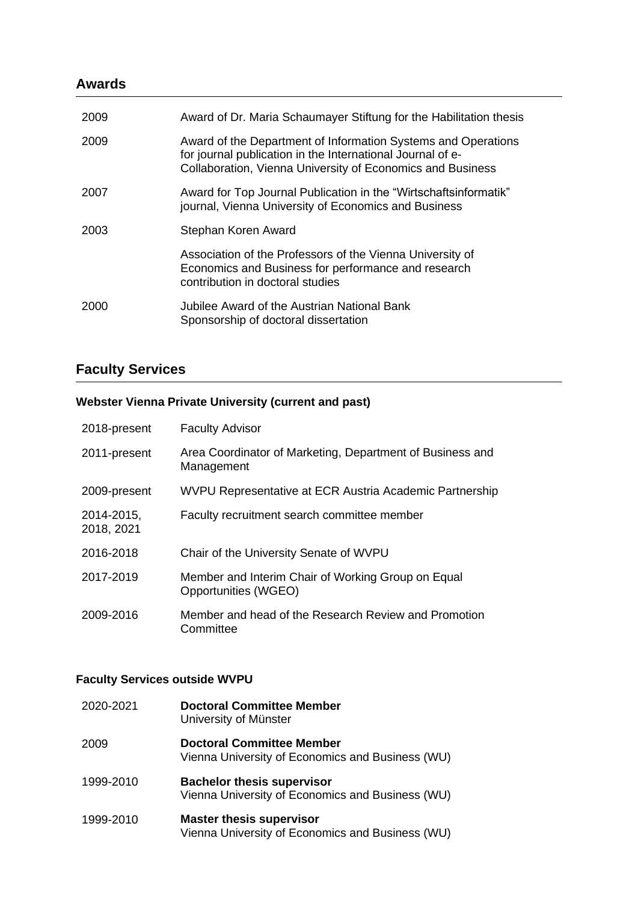### **Awards**

| 2009 | Award of Dr. Maria Schaumayer Stiftung for the Habilitation thesis                                                                                                                        |
|------|-------------------------------------------------------------------------------------------------------------------------------------------------------------------------------------------|
| 2009 | Award of the Department of Information Systems and Operations<br>for journal publication in the International Journal of e-<br>Collaboration, Vienna University of Economics and Business |
| 2007 | Award for Top Journal Publication in the "Wirtschaftsinformatik"<br>journal, Vienna University of Economics and Business                                                                  |
| 2003 | Stephan Koren Award                                                                                                                                                                       |
|      | Association of the Professors of the Vienna University of<br>Economics and Business for performance and research<br>contribution in doctoral studies                                      |
| 2000 | Jubilee Award of the Austrian National Bank<br>Sponsorship of doctoral dissertation                                                                                                       |

# **Faculty Services**

### **Webster Vienna Private University (current and past)**

| 2018-present             | <b>Faculty Advisor</b>                                                     |
|--------------------------|----------------------------------------------------------------------------|
| 2011-present             | Area Coordinator of Marketing, Department of Business and<br>Management    |
| 2009-present             | WVPU Representative at ECR Austria Academic Partnership                    |
| 2014-2015,<br>2018, 2021 | Faculty recruitment search committee member                                |
| 2016-2018                | Chair of the University Senate of WVPU                                     |
| 2017-2019                | Member and Interim Chair of Working Group on Equal<br>Opportunities (WGEO) |
| 2009-2016                | Member and head of the Research Review and Promotion<br>Committee          |

### **Faculty Services outside WVPU**

| 2020-2021 | <b>Doctoral Committee Member</b><br>University of Münster                             |
|-----------|---------------------------------------------------------------------------------------|
| 2009      | <b>Doctoral Committee Member</b><br>Vienna University of Economics and Business (WU)  |
| 1999-2010 | <b>Bachelor thesis supervisor</b><br>Vienna University of Economics and Business (WU) |
| 1999-2010 | <b>Master thesis supervisor</b><br>Vienna University of Economics and Business (WU)   |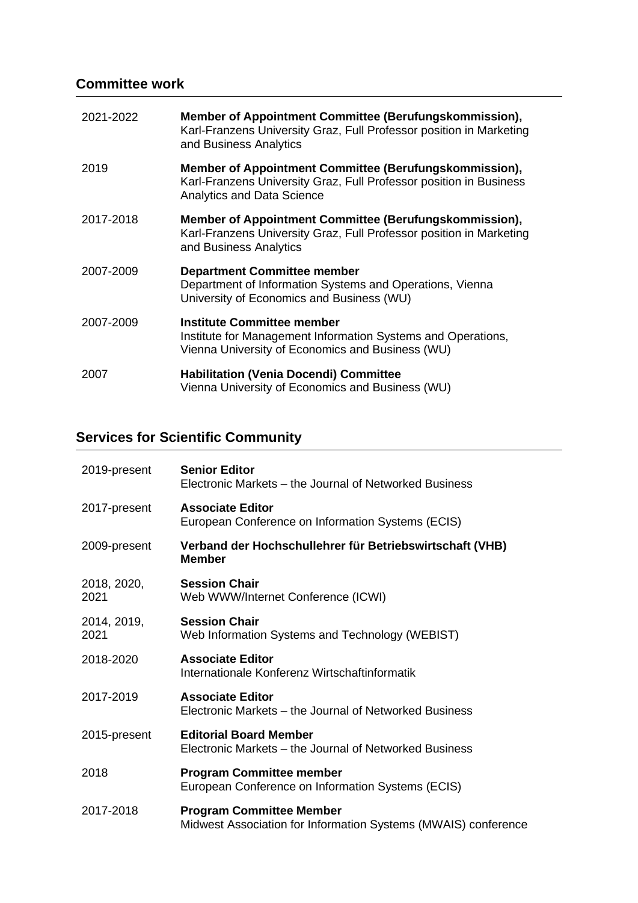# **Committee work**

| 2021-2022 | Member of Appointment Committee (Berufungskommission),<br>Karl-Franzens University Graz, Full Professor position in Marketing<br>and Business Analytics           |
|-----------|-------------------------------------------------------------------------------------------------------------------------------------------------------------------|
| 2019      | Member of Appointment Committee (Berufungskommission),<br>Karl-Franzens University Graz, Full Professor position in Business<br><b>Analytics and Data Science</b> |
| 2017-2018 | Member of Appointment Committee (Berufungskommission),<br>Karl-Franzens University Graz, Full Professor position in Marketing<br>and Business Analytics           |
| 2007-2009 | <b>Department Committee member</b><br>Department of Information Systems and Operations, Vienna<br>University of Economics and Business (WU)                       |
| 2007-2009 | <b>Institute Committee member</b><br>Institute for Management Information Systems and Operations,<br>Vienna University of Economics and Business (WU)             |
| 2007      | <b>Habilitation (Venia Docendi) Committee</b><br>Vienna University of Economics and Business (WU)                                                                 |

# **Services for Scientific Community**

| 2019-present        | <b>Senior Editor</b><br>Electronic Markets – the Journal of Networked Business                    |
|---------------------|---------------------------------------------------------------------------------------------------|
| 2017-present        | <b>Associate Editor</b><br>European Conference on Information Systems (ECIS)                      |
| 2009-present        | Verband der Hochschullehrer für Betriebswirtschaft (VHB)<br><b>Member</b>                         |
| 2018, 2020,<br>2021 | <b>Session Chair</b><br>Web WWW/Internet Conference (ICWI)                                        |
| 2014, 2019,<br>2021 | <b>Session Chair</b><br>Web Information Systems and Technology (WEBIST)                           |
| 2018-2020           | <b>Associate Editor</b><br>Internationale Konferenz Wirtschaftinformatik                          |
| 2017-2019           | <b>Associate Editor</b><br>Electronic Markets - the Journal of Networked Business                 |
| 2015-present        | <b>Editorial Board Member</b><br>Electronic Markets – the Journal of Networked Business           |
| 2018                | <b>Program Committee member</b><br>European Conference on Information Systems (ECIS)              |
| 2017-2018           | <b>Program Committee Member</b><br>Midwest Association for Information Systems (MWAIS) conference |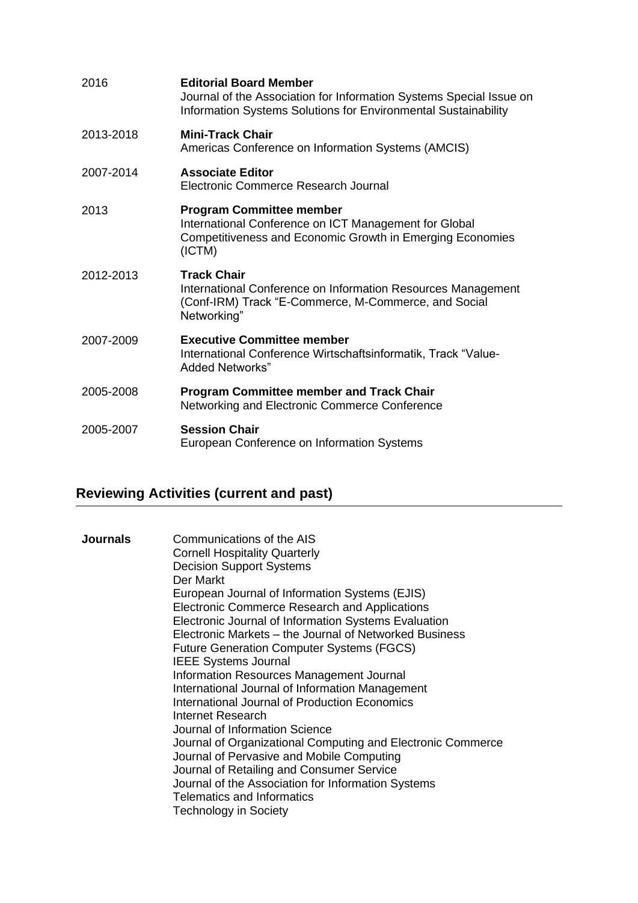| 2016      | <b>Editorial Board Member</b><br>Journal of the Association for Information Systems Special Issue on<br>Information Systems Solutions for Environmental Sustainability |
|-----------|------------------------------------------------------------------------------------------------------------------------------------------------------------------------|
| 2013-2018 | <b>Mini-Track Chair</b><br>Americas Conference on Information Systems (AMCIS)                                                                                          |
| 2007-2014 | <b>Associate Editor</b><br>Electronic Commerce Research Journal                                                                                                        |
| 2013      | <b>Program Committee member</b><br>International Conference on ICT Management for Global<br>Competitiveness and Economic Growth in Emerging Economies<br>(ICTM)        |
| 2012-2013 | <b>Track Chair</b><br>International Conference on Information Resources Management<br>(Conf-IRM) Track "E-Commerce, M-Commerce, and Social<br>Networking"              |
| 2007-2009 | <b>Executive Committee member</b><br>International Conference Wirtschaftsinformatik, Track "Value-<br><b>Added Networks"</b>                                           |
| 2005-2008 | <b>Program Committee member and Track Chair</b><br>Networking and Electronic Commerce Conference                                                                       |
| 2005-2007 | <b>Session Chair</b><br>European Conference on Information Systems                                                                                                     |

# **Reviewing Activities (current and past)**

| Communications of the AIS<br><b>Journals</b><br><b>Cornell Hospitality Quarterly</b><br><b>Decision Support Systems</b><br>Der Markt<br>European Journal of Information Systems (EJIS)<br>Electronic Commerce Research and Applications<br>Electronic Journal of Information Systems Evaluation<br>Electronic Markets – the Journal of Networked Business<br><b>Future Generation Computer Systems (FGCS)</b><br><b>IEEE Systems Journal</b><br>Information Resources Management Journal<br>International Journal of Information Management<br>International Journal of Production Economics<br>Internet Research<br>Journal of Information Science<br>Journal of Organizational Computing and Electronic Commerce<br>Journal of Pervasive and Mobile Computing<br>Journal of Retailing and Consumer Service<br>Journal of the Association for Information Systems<br><b>Telematics and Informatics</b><br><b>Technology in Society</b> |  |
|-----------------------------------------------------------------------------------------------------------------------------------------------------------------------------------------------------------------------------------------------------------------------------------------------------------------------------------------------------------------------------------------------------------------------------------------------------------------------------------------------------------------------------------------------------------------------------------------------------------------------------------------------------------------------------------------------------------------------------------------------------------------------------------------------------------------------------------------------------------------------------------------------------------------------------------------|--|
|-----------------------------------------------------------------------------------------------------------------------------------------------------------------------------------------------------------------------------------------------------------------------------------------------------------------------------------------------------------------------------------------------------------------------------------------------------------------------------------------------------------------------------------------------------------------------------------------------------------------------------------------------------------------------------------------------------------------------------------------------------------------------------------------------------------------------------------------------------------------------------------------------------------------------------------------|--|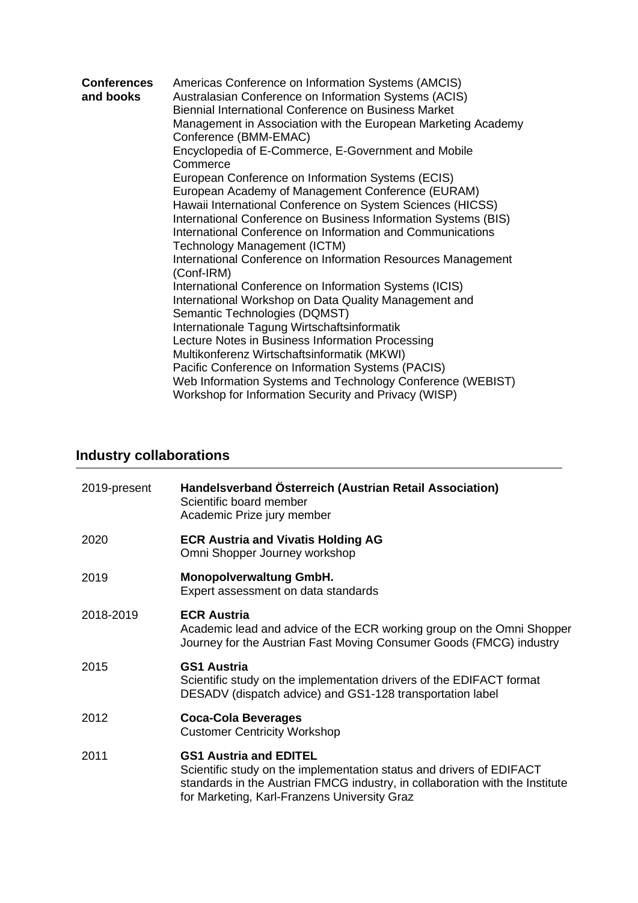| <b>Conferences</b><br>and books | Americas Conference on Information Systems (AMCIS)<br>Australasian Conference on Information Systems (ACIS)<br>Biennial International Conference on Business Market<br>Management in Association with the European Marketing Academy<br>Conference (BMM-EMAC)                                                                                                                                        |
|---------------------------------|------------------------------------------------------------------------------------------------------------------------------------------------------------------------------------------------------------------------------------------------------------------------------------------------------------------------------------------------------------------------------------------------------|
|                                 | Encyclopedia of E-Commerce, E-Government and Mobile<br>Commerce                                                                                                                                                                                                                                                                                                                                      |
|                                 | European Conference on Information Systems (ECIS)<br>European Academy of Management Conference (EURAM)<br>Hawaii International Conference on System Sciences (HICSS)<br>International Conference on Business Information Systems (BIS)<br>International Conference on Information and Communications<br>Technology Management (ICTM)<br>International Conference on Information Resources Management |
|                                 | (Conf-IRM)<br>International Conference on Information Systems (ICIS)<br>International Workshop on Data Quality Management and<br>Semantic Technologies (DQMST)<br>Internationale Tagung Wirtschaftsinformatik<br>Lecture Notes in Business Information Processing<br>Multikonferenz Wirtschaftsinformatik (MKWI)<br>Pacific Conference on Information Systems (PACIS)                                |
|                                 | Web Information Systems and Technology Conference (WEBIST)<br>Workshop for Information Security and Privacy (WISP)                                                                                                                                                                                                                                                                                   |

# **Industry collaborations**

| 2019-present | Handelsverband Österreich (Austrian Retail Association)<br>Scientific board member<br>Academic Prize jury member                                                                                                                      |
|--------------|---------------------------------------------------------------------------------------------------------------------------------------------------------------------------------------------------------------------------------------|
| 2020         | <b>ECR Austria and Vivatis Holding AG</b><br>Omni Shopper Journey workshop                                                                                                                                                            |
| 2019         | <b>Monopolverwaltung GmbH.</b><br>Expert assessment on data standards                                                                                                                                                                 |
| 2018-2019    | <b>ECR Austria</b><br>Academic lead and advice of the ECR working group on the Omni Shopper<br>Journey for the Austrian Fast Moving Consumer Goods (FMCG) industry                                                                    |
| 2015         | <b>GS1 Austria</b><br>Scientific study on the implementation drivers of the EDIFACT format<br>DESADV (dispatch advice) and GS1-128 transportation label                                                                               |
| 2012         | <b>Coca-Cola Beverages</b><br><b>Customer Centricity Workshop</b>                                                                                                                                                                     |
| 2011         | <b>GS1 Austria and EDITEL</b><br>Scientific study on the implementation status and drivers of EDIFACT<br>standards in the Austrian FMCG industry, in collaboration with the Institute<br>for Marketing, Karl-Franzens University Graz |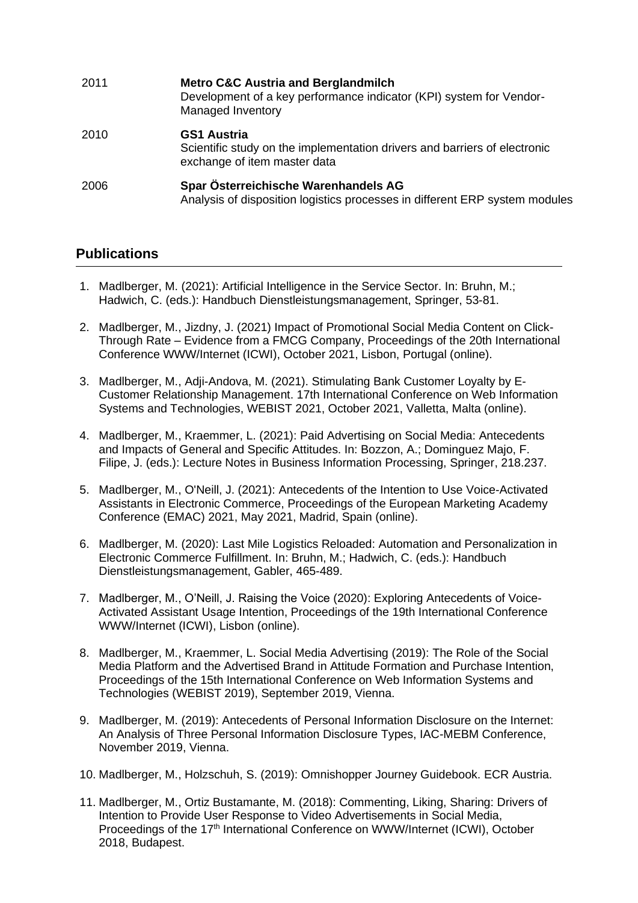| 2011 | <b>Metro C&amp;C Austria and Berglandmilch</b><br>Development of a key performance indicator (KPI) system for Vendor-<br>Managed Inventory |
|------|--------------------------------------------------------------------------------------------------------------------------------------------|
| 2010 | <b>GS1 Austria</b><br>Scientific study on the implementation drivers and barriers of electronic<br>exchange of item master data            |
| 2006 | Spar Österreichische Warenhandels AG<br>Analysis of disposition logistics processes in different ERP system modules                        |

### **Publications**

- 1. Madlberger, M. (2021): Artificial Intelligence in the Service Sector. In: Bruhn, M.; Hadwich, C. (eds.): Handbuch Dienstleistungsmanagement, Springer, 53-81.
- 2. Madlberger, M., Jizdny, J. (2021) Impact of Promotional Social Media Content on Click-Through Rate – Evidence from a FMCG Company, Proceedings of the 20th International Conference WWW/Internet (ICWI), October 2021, Lisbon, Portugal (online).
- 3. Madlberger, M., Adji-Andova, M. (2021). Stimulating Bank Customer Loyalty by E-Customer Relationship Management. 17th International Conference on Web Information Systems and Technologies, WEBIST 2021, October 2021, Valletta, Malta (online).
- 4. Madlberger, M., Kraemmer, L. (2021): Paid Advertising on Social Media: Antecedents and Impacts of General and Specific Attitudes. In: Bozzon, A.; Dominguez Majo, F. Filipe, J. (eds.): Lecture Notes in Business Information Processing, Springer, 218.237.
- 5. Madlberger, M., O'Neill, J. (2021): Antecedents of the Intention to Use Voice-Activated Assistants in Electronic Commerce, Proceedings of the European Marketing Academy Conference (EMAC) 2021, May 2021, Madrid, Spain (online).
- 6. Madlberger, M. (2020): Last Mile Logistics Reloaded: Automation and Personalization in Electronic Commerce Fulfillment. In: Bruhn, M.; Hadwich, C. (eds.): Handbuch Dienstleistungsmanagement, Gabler, 465-489.
- 7. Madlberger, M., O'Neill, J. Raising the Voice (2020): Exploring Antecedents of Voice-Activated Assistant Usage Intention, Proceedings of the 19th International Conference WWW/Internet (ICWI), Lisbon (online).
- 8. Madlberger, M., Kraemmer, L. Social Media Advertising (2019): The Role of the Social Media Platform and the Advertised Brand in Attitude Formation and Purchase Intention, Proceedings of the 15th International Conference on Web Information Systems and Technologies (WEBIST 2019), September 2019, Vienna.
- 9. Madlberger, M. (2019): Antecedents of Personal Information Disclosure on the Internet: An Analysis of Three Personal Information Disclosure Types, IAC-MEBM Conference, November 2019, Vienna.
- 10. Madlberger, M., Holzschuh, S. (2019): Omnishopper Journey Guidebook. ECR Austria.
- 11. Madlberger, M., Ortiz Bustamante, M. (2018): Commenting, Liking, Sharing: Drivers of Intention to Provide User Response to Video Advertisements in Social Media, Proceedings of the 17<sup>th</sup> International Conference on WWW/Internet (ICWI), October 2018, Budapest.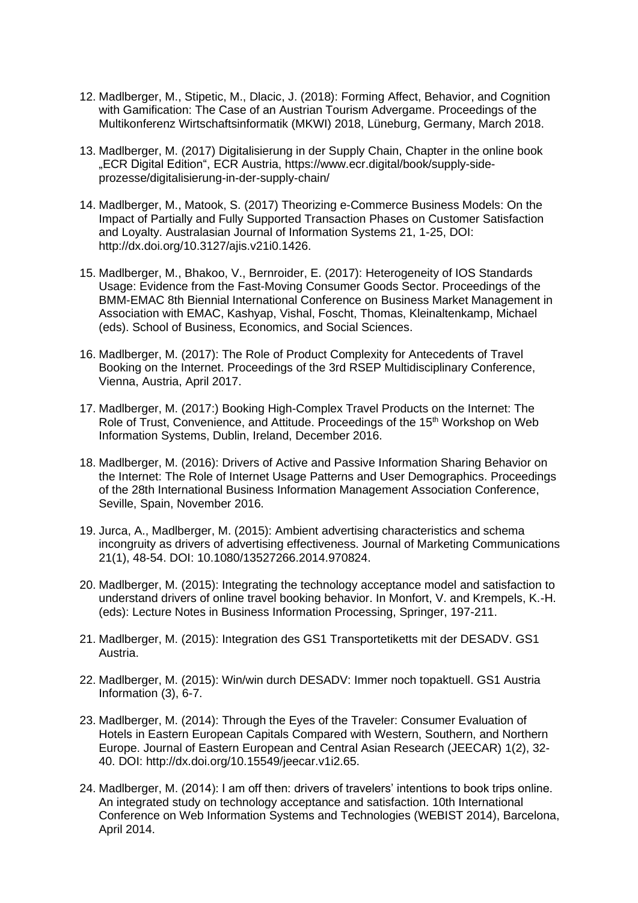- 12. Madlberger, M., Stipetic, M., Dlacic, J. (2018): Forming Affect, Behavior, and Cognition with Gamification: The Case of an Austrian Tourism Advergame. Proceedings of the Multikonferenz Wirtschaftsinformatik (MKWI) 2018, Lüneburg, Germany, March 2018.
- 13. Madlberger, M. (2017) Digitalisierung in der Supply Chain, Chapter in the online book "ECR Digital Edition", ECR Austria, https://www.ecr.digital/book/supply-sideprozesse/digitalisierung-in-der-supply-chain/
- 14. Madlberger, M., Matook, S. (2017) Theorizing e-Commerce Business Models: On the Impact of Partially and Fully Supported Transaction Phases on Customer Satisfaction and Loyalty. Australasian Journal of Information Systems 21, 1-25, DOI: http://dx.doi.org/10.3127/ajis.v21i0.1426.
- 15. Madlberger, M., Bhakoo, V., Bernroider, E. (2017): Heterogeneity of IOS Standards Usage: Evidence from the Fast-Moving Consumer Goods Sector. Proceedings of the BMM-EMAC 8th Biennial International Conference on Business Market Management in Association with EMAC, Kashyap, Vishal, Foscht, Thomas, Kleinaltenkamp, Michael (eds). School of Business, Economics, and Social Sciences.
- 16. Madlberger, M. (2017): The Role of Product Complexity for Antecedents of Travel Booking on the Internet. Proceedings of the 3rd RSEP Multidisciplinary Conference, Vienna, Austria, April 2017.
- 17. Madlberger, M. (2017:) Booking High-Complex Travel Products on the Internet: The Role of Trust, Convenience, and Attitude. Proceedings of the 15<sup>th</sup> Workshop on Web Information Systems, Dublin, Ireland, December 2016.
- 18. Madlberger, M. (2016): Drivers of Active and Passive Information Sharing Behavior on the Internet: The Role of Internet Usage Patterns and User Demographics. Proceedings of the 28th International Business Information Management Association Conference, Seville, Spain, November 2016.
- 19. Jurca, A., Madlberger, M. (2015): Ambient advertising characteristics and schema incongruity as drivers of advertising effectiveness. Journal of Marketing Communications 21(1), 48-54. DOI: 10.1080/13527266.2014.970824.
- 20. Madlberger, M. (2015): Integrating the technology acceptance model and satisfaction to understand drivers of online travel booking behavior. In Monfort, V. and Krempels, K.-H. (eds): Lecture Notes in Business Information Processing, Springer, 197-211.
- 21. Madlberger, M. (2015): Integration des GS1 Transportetiketts mit der DESADV. GS1 Austria.
- 22. Madlberger, M. (2015): Win/win durch DESADV: Immer noch topaktuell. GS1 Austria Information (3), 6-7.
- 23. Madlberger, M. (2014): Through the Eyes of the Traveler: Consumer Evaluation of Hotels in Eastern European Capitals Compared with Western, Southern, and Northern Europe. Journal of Eastern European and Central Asian Research (JEECAR) 1(2), 32- 40. DOI: http://dx.doi.org/10.15549/jeecar.v1i2.65.
- 24. Madlberger, M. (2014): I am off then: drivers of travelers' intentions to book trips online. An integrated study on technology acceptance and satisfaction. 10th International Conference on Web Information Systems and Technologies (WEBIST 2014), Barcelona, April 2014.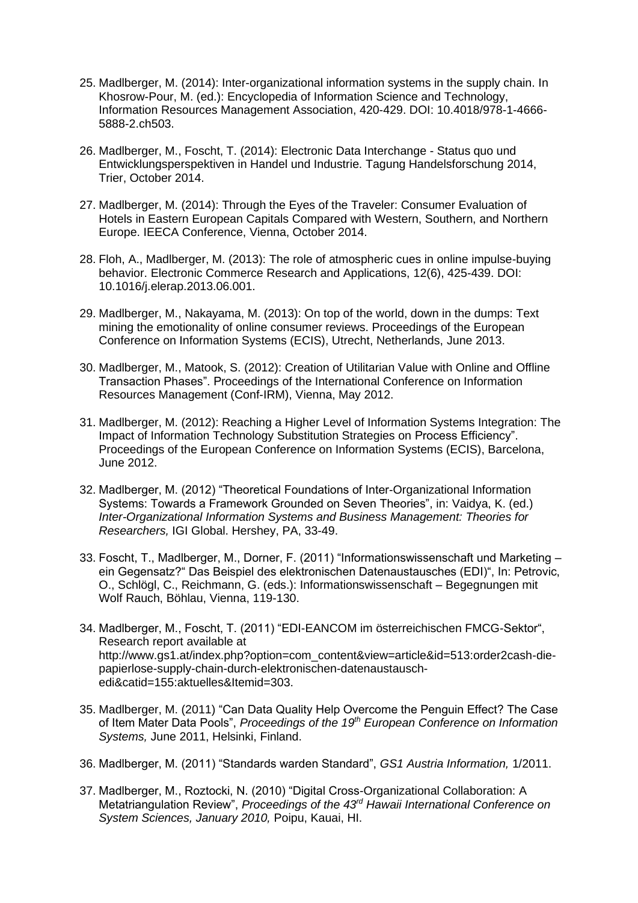- 25. Madlberger, M. (2014): Inter-organizational information systems in the supply chain. In Khosrow-Pour, M. (ed.): Encyclopedia of Information Science and Technology, Information Resources Management Association, 420-429. DOI: 10.4018/978-1-4666- 5888-2.ch503.
- 26. Madlberger, M., Foscht, T. (2014): Electronic Data Interchange Status quo und Entwicklungsperspektiven in Handel und Industrie. Tagung Handelsforschung 2014, Trier, October 2014.
- 27. Madlberger, M. (2014): Through the Eyes of the Traveler: Consumer Evaluation of Hotels in Eastern European Capitals Compared with Western, Southern, and Northern Europe. IEECA Conference, Vienna, October 2014.
- 28. Floh, A., Madlberger, M. (2013): The role of atmospheric cues in online impulse-buying behavior. Electronic Commerce Research and Applications, 12(6), 425-439. DOI: 10.1016/j.elerap.2013.06.001.
- 29. Madlberger, M., Nakayama, M. (2013): On top of the world, down in the dumps: Text mining the emotionality of online consumer reviews. Proceedings of the European Conference on Information Systems (ECIS), Utrecht, Netherlands, June 2013.
- 30. Madlberger, M., Matook, S. (2012): Creation of Utilitarian Value with Online and Offline Transaction Phases". Proceedings of the International Conference on Information Resources Management (Conf-IRM), Vienna, May 2012.
- 31. Madlberger, M. (2012): Reaching a Higher Level of Information Systems Integration: The Impact of Information Technology Substitution Strategies on Process Efficiency". Proceedings of the European Conference on Information Systems (ECIS), Barcelona, June 2012.
- 32. Madlberger, M. (2012) "Theoretical Foundations of Inter-Organizational Information Systems: Towards a Framework Grounded on Seven Theories", in: Vaidya, K. (ed.) *Inter-Organizational Information Systems and Business Management: Theories for Researchers,* IGI Global. Hershey, PA, 33-49.
- 33. Foscht, T., Madlberger, M., Dorner, F. (2011) "Informationswissenschaft und Marketing ein Gegensatz?" Das Beispiel des elektronischen Datenaustausches (EDI)", In: Petrovic, O., Schlögl, C., Reichmann, G. (eds.): Informationswissenschaft – Begegnungen mit Wolf Rauch, Böhlau, Vienna, 119-130.
- 34. Madlberger, M., Foscht, T. (2011) "EDI-EANCOM im österreichischen FMCG-Sektor", Research report available at http://www.gs1.at/index.php?option=com\_content&view=article&id=513:order2cash-diepapierlose-supply-chain-durch-elektronischen-datenaustauschedi&catid=155:aktuelles&Itemid=303.
- 35. Madlberger, M. (2011) "Can Data Quality Help Overcome the Penguin Effect? The Case of Item Mater Data Pools", *Proceedings of the 19th European Conference on Information Systems,* June 2011, Helsinki, Finland.
- 36. Madlberger, M. (2011) "Standards warden Standard", *GS1 Austria Information,* 1/2011.
- 37. Madlberger, M., Roztocki, N. (2010) "Digital Cross-Organizational Collaboration: A Metatriangulation Review", *Proceedings of the 43rd Hawaii International Conference on System Sciences, January 2010,* Poipu, Kauai, HI.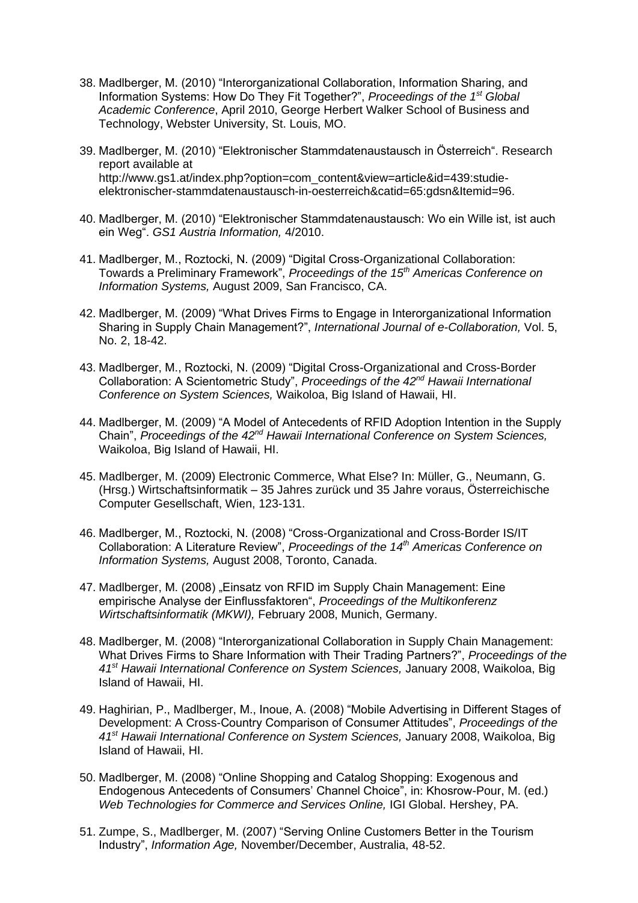- 38. Madlberger, M. (2010) "Interorganizational Collaboration, Information Sharing, and Information Systems: How Do They Fit Together?", *Proceedings of the 1st Global Academic Conference*, April 2010, George Herbert Walker School of Business and Technology, Webster University, St. Louis, MO.
- 39. Madlberger, M. (2010) "Elektronischer Stammdatenaustausch in Österreich". Research report available at http://www.gs1.at/index.php?option=com\_content&view=article&id=439:studieelektronischer-stammdatenaustausch-in-oesterreich&catid=65:gdsn&Itemid=96.
- 40. Madlberger, M. (2010) "Elektronischer Stammdatenaustausch: Wo ein Wille ist, ist auch ein Weg". *GS1 Austria Information,* 4/2010.
- 41. Madlberger, M., Roztocki, N. (2009) "Digital Cross-Organizational Collaboration: Towards a Preliminary Framework", *Proceedings of the 15th Americas Conference on Information Systems,* August 2009, San Francisco, CA.
- 42. Madlberger, M. (2009) "What Drives Firms to Engage in Interorganizational Information Sharing in Supply Chain Management?", *International Journal of e-Collaboration,* Vol. 5, No. 2, 18-42.
- 43. Madlberger, M., Roztocki, N. (2009) "Digital Cross-Organizational and Cross-Border Collaboration: A Scientometric Study", *Proceedings of the 42nd Hawaii International Conference on System Sciences,* Waikoloa, Big Island of Hawaii, HI.
- 44. Madlberger, M. (2009) "A Model of Antecedents of RFID Adoption Intention in the Supply Chain", *Proceedings of the 42nd Hawaii International Conference on System Sciences,*  Waikoloa, Big Island of Hawaii, HI.
- 45. Madlberger, M. (2009) Electronic Commerce, What Else? In: Müller, G., Neumann, G. (Hrsg.) Wirtschaftsinformatik – 35 Jahres zurück und 35 Jahre voraus, Österreichische Computer Gesellschaft, Wien, 123-131.
- 46. Madlberger, M., Roztocki, N. (2008) "Cross-Organizational and Cross-Border IS/IT Collaboration: A Literature Review", *Proceedings of the 14th Americas Conference on Information Systems,* August 2008, Toronto, Canada.
- 47. Madlberger, M. (2008) "Einsatz von RFID im Supply Chain Management: Eine empirische Analyse der Einflussfaktoren", *Proceedings of the Multikonferenz Wirtschaftsinformatik (MKWI),* February 2008, Munich, Germany.
- 48. Madlberger, M. (2008) "Interorganizational Collaboration in Supply Chain Management: What Drives Firms to Share Information with Their Trading Partners?", *Proceedings of the 41st Hawaii International Conference on System Sciences,* January 2008, Waikoloa, Big Island of Hawaii, HI.
- 49. Haghirian, P., Madlberger, M., Inoue, A. (2008) "Mobile Advertising in Different Stages of Development: A Cross-Country Comparison of Consumer Attitudes", *Proceedings of the 41st Hawaii International Conference on System Sciences,* January 2008, Waikoloa, Big Island of Hawaii, HI.
- 50. Madlberger, M. (2008) "Online Shopping and Catalog Shopping: Exogenous and Endogenous Antecedents of Consumers' Channel Choice", in: Khosrow-Pour, M. (ed.) *Web Technologies for Commerce and Services Online,* IGI Global. Hershey, PA.
- 51. Zumpe, S., Madlberger, M. (2007) "Serving Online Customers Better in the Tourism Industry", *Information Age,* November/December, Australia, 48-52.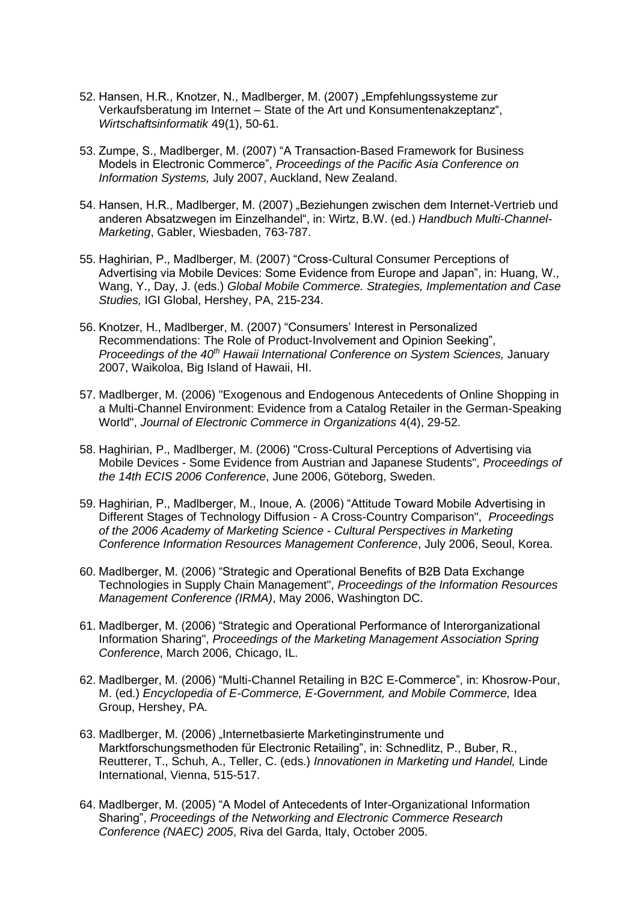- 52. Hansen, H.R., Knotzer, N., Madlberger, M. (2007) "Empfehlungssysteme zur Verkaufsberatung im Internet – State of the Art und Konsumentenakzeptanz", *Wirtschaftsinformatik* 49(1), 50-61.
- 53. Zumpe, S., Madlberger, M. (2007) "A Transaction-Based Framework for Business Models in Electronic Commerce", *Proceedings of the Pacific Asia Conference on Information Systems,* July 2007, Auckland, New Zealand.
- 54. Hansen, H.R., Madlberger, M. (2007) "Beziehungen zwischen dem Internet-Vertrieb und anderen Absatzwegen im Einzelhandel", in: Wirtz, B.W. (ed.) *Handbuch Multi-Channel-Marketing*, Gabler, Wiesbaden, 763-787.
- 55. Haghirian, P., Madlberger, M. (2007) "Cross-Cultural Consumer Perceptions of Advertising via Mobile Devices: Some Evidence from Europe and Japan", in: Huang, W., Wang, Y., Day, J. (eds.) *Global Mobile Commerce. Strategies, Implementation and Case Studies,* IGI Global, Hershey, PA, 215-234.
- 56. Knotzer, H., Madlberger, M. (2007) "Consumers' Interest in Personalized Recommendations: The Role of Product-Involvement and Opinion Seeking", *Proceedings of the 40th Hawaii International Conference on System Sciences,* January 2007, Waikoloa, Big Island of Hawaii, HI.
- 57. Madlberger, M. (2006) "Exogenous and Endogenous Antecedents of Online Shopping in a Multi-Channel Environment: Evidence from a Catalog Retailer in the German-Speaking World", *Journal of Electronic Commerce in Organizations* 4(4), 29-52.
- 58. Haghirian, P., Madlberger, M. (2006) "Cross-Cultural Perceptions of Advertising via Mobile Devices - Some Evidence from Austrian and Japanese Students", *Proceedings of the 14th ECIS 2006 Conference*, June 2006, Göteborg, Sweden.
- 59. Haghirian, P., Madlberger, M., Inoue, A. (2006) "Attitude Toward Mobile Advertising in Different Stages of Technology Diffusion - A Cross-Country Comparison", *Proceedings of the 2006 Academy of Marketing Science - Cultural Perspectives in Marketing Conference Information Resources Management Conference*, July 2006, Seoul, Korea.
- 60. Madlberger, M. (2006) "Strategic and Operational Benefits of B2B Data Exchange Technologies in Supply Chain Management", *Proceedings of the Information Resources Management Conference (IRMA)*, May 2006, Washington DC.
- 61. Madlberger, M. (2006) "Strategic and Operational Performance of Interorganizational Information Sharing", *Proceedings of the Marketing Management Association Spring Conference*, March 2006, Chicago, IL.
- 62. Madlberger, M. (2006) "Multi-Channel Retailing in B2C E-Commerce", in: Khosrow-Pour, M. (ed.) *Encyclopedia of E-Commerce, E-Government, and Mobile Commerce,* Idea Group, Hershey, PA.
- 63. Madlberger, M. (2006) "Internetbasierte Marketinginstrumente und Marktforschungsmethoden für Electronic Retailing", in: Schnedlitz, P., Buber, R., Reutterer, T., Schuh, A., Teller, C. (eds.) *Innovationen in Marketing und Handel,* Linde International, Vienna, 515-517.
- 64. Madlberger, M. (2005) "A Model of Antecedents of Inter-Organizational Information Sharing", *Proceedings of the Networking and Electronic Commerce Research Conference (NAEC) 2005*, Riva del Garda, Italy, October 2005.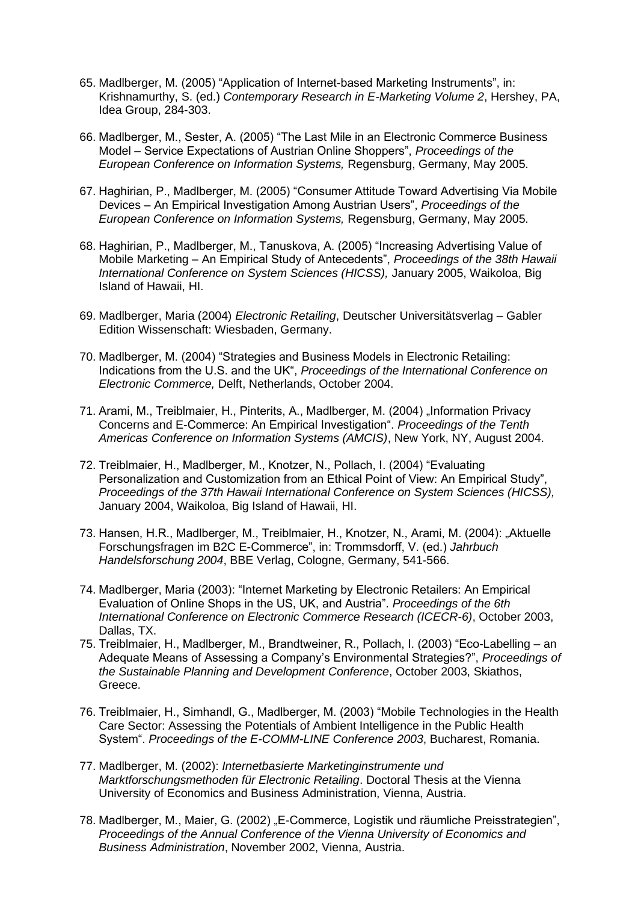- 65. Madlberger, M. (2005) "Application of Internet-based Marketing Instruments", in: Krishnamurthy, S. (ed.) *Contemporary Research in E-Marketing Volume 2*, Hershey, PA, Idea Group, 284-303.
- 66. Madlberger, M., Sester, A. (2005) "The Last Mile in an Electronic Commerce Business Model – Service Expectations of Austrian Online Shoppers", *Proceedings of the European Conference on Information Systems,* Regensburg, Germany, May 2005.
- 67. Haghirian, P., Madlberger, M. (2005) "Consumer Attitude Toward Advertising Via Mobile Devices – An Empirical Investigation Among Austrian Users", *Proceedings of the European Conference on Information Systems,* Regensburg, Germany, May 2005.
- 68. Haghirian, P., Madlberger, M., Tanuskova, A. (2005) "Increasing Advertising Value of Mobile Marketing – An Empirical Study of Antecedents", *Proceedings of the 38th Hawaii International Conference on System Sciences (HICSS),* January 2005, Waikoloa, Big Island of Hawaii, HI.
- 69. Madlberger, Maria (2004) *Electronic Retailing*, Deutscher Universitätsverlag Gabler Edition Wissenschaft: Wiesbaden, Germany.
- 70. Madlberger, M. (2004) "Strategies and Business Models in Electronic Retailing: Indications from the U.S. and the UK", *Proceedings of the International Conference on Electronic Commerce,* Delft, Netherlands, October 2004.
- 71. Arami, M., Treiblmaier, H., Pinterits, A., Madlberger, M. (2004) "Information Privacy Concerns and E-Commerce: An Empirical Investigation". *Proceedings of the Tenth Americas Conference on Information Systems (AMCIS)*, New York, NY, August 2004.
- 72. Treiblmaier, H., Madlberger, M., Knotzer, N., Pollach, I. (2004) "Evaluating Personalization and Customization from an Ethical Point of View: An Empirical Study", *Proceedings of the 37th Hawaii International Conference on System Sciences (HICSS),* January 2004, Waikoloa, Big Island of Hawaii, HI.
- 73. Hansen, H.R., Madlberger, M., Treiblmaier, H., Knotzer, N., Arami, M. (2004): "Aktuelle Forschungsfragen im B2C E-Commerce", in: Trommsdorff, V. (ed.) *Jahrbuch Handelsforschung 2004*, BBE Verlag, Cologne, Germany, 541-566.
- 74. Madlberger, Maria (2003): "Internet Marketing by Electronic Retailers: An Empirical Evaluation of Online Shops in the US, UK, and Austria". *Proceedings of the 6th International Conference on Electronic Commerce Research (ICECR-6)*, October 2003, Dallas, TX.
- 75. Treiblmaier, H., Madlberger, M., Brandtweiner, R., Pollach, I. (2003) "Eco-Labelling an Adequate Means of Assessing a Company's Environmental Strategies?", *Proceedings of the Sustainable Planning and Development Conference*, October 2003, Skiathos, Greece.
- 76. Treiblmaier, H., Simhandl, G., Madlberger, M. (2003) "Mobile Technologies in the Health Care Sector: Assessing the Potentials of Ambient Intelligence in the Public Health System". *Proceedings of the E-COMM-LINE Conference 2003*, Bucharest, Romania.
- 77. Madlberger, M. (2002): *Internetbasierte Marketinginstrumente und Marktforschungsmethoden für Electronic Retailing*. Doctoral Thesis at the Vienna University of Economics and Business Administration, Vienna, Austria.
- 78. Madlberger, M., Maier, G. (2002) "E-Commerce, Logistik und räumliche Preisstrategien", *Proceedings of the Annual Conference of the Vienna University of Economics and Business Administration*, November 2002, Vienna, Austria.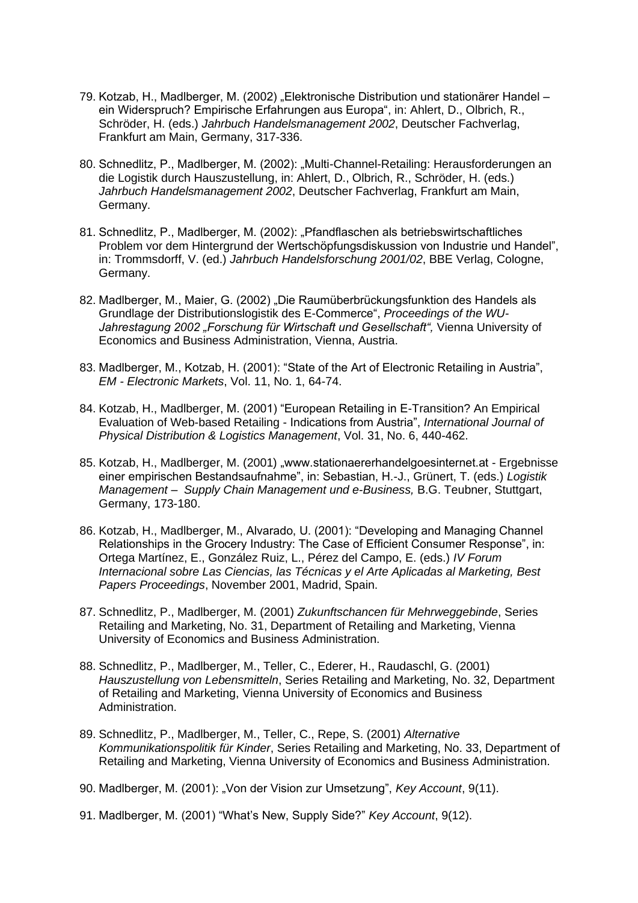- 79. Kotzab, H., Madlberger, M. (2002) "Elektronische Distribution und stationärer Handel ein Widerspruch? Empirische Erfahrungen aus Europa", in: Ahlert, D., Olbrich, R., Schröder, H. (eds.) *Jahrbuch Handelsmanagement 2002*, Deutscher Fachverlag, Frankfurt am Main, Germany, 317-336.
- 80. Schnedlitz, P., Madlberger, M. (2002): "Multi-Channel-Retailing: Herausforderungen an die Logistik durch Hauszustellung, in: Ahlert, D., Olbrich, R., Schröder, H. (eds.) *Jahrbuch Handelsmanagement 2002*, Deutscher Fachverlag, Frankfurt am Main, Germany.
- 81. Schnedlitz, P., Madlberger, M. (2002): "Pfandflaschen als betriebswirtschaftliches Problem vor dem Hintergrund der Wertschöpfungsdiskussion von Industrie und Handel", in: Trommsdorff, V. (ed.) *Jahrbuch Handelsforschung 2001/02*, BBE Verlag, Cologne, Germany.
- 82. Madlberger, M., Maier, G. (2002) "Die Raumüberbrückungsfunktion des Handels als Grundlage der Distributionslogistik des E-Commerce", *Proceedings of the WU-Jahrestagung 2002 "Forschung für Wirtschaft und Gesellschaft",* Vienna University of Economics and Business Administration, Vienna, Austria.
- 83. Madlberger, M., Kotzab, H. (2001): "State of the Art of Electronic Retailing in Austria", *EM - Electronic Markets*, Vol. 11, No. 1, 64-74.
- 84. Kotzab, H., Madlberger, M. (2001) "European Retailing in E-Transition? An Empirical Evaluation of Web-based Retailing - Indications from Austria", *International Journal of Physical Distribution & Logistics Management*, Vol. 31, No. 6, 440-462.
- 85. Kotzab, H., Madlberger, M. (2001) "www.stationaererhandelgoesinternet.at Ergebnisse einer empirischen Bestandsaufnahme", in: Sebastian, H.-J., Grünert, T. (eds.) *Logistik Management – Supply Chain Management und e-Business,* B.G. Teubner, Stuttgart, Germany, 173-180.
- 86. Kotzab, H., Madlberger, M., Alvarado, U. (2001): "Developing and Managing Channel Relationships in the Grocery Industry: The Case of Efficient Consumer Response", in: Ortega Martínez, E., González Ruiz, L., Pérez del Campo, E. (eds.) *IV Forum Internacional sobre Las Ciencias, las Técnicas y el Arte Aplicadas al Marketing, Best Papers Proceedings*, November 2001, Madrid, Spain.
- 87. Schnedlitz, P., Madlberger, M. (2001) *Zukunftschancen für Mehrweggebinde*, Series Retailing and Marketing, No. 31, Department of Retailing and Marketing, Vienna University of Economics and Business Administration.
- 88. Schnedlitz, P., Madlberger, M., Teller, C., Ederer, H., Raudaschl, G. (2001) *Hauszustellung von Lebensmitteln*, Series Retailing and Marketing, No. 32, Department of Retailing and Marketing, Vienna University of Economics and Business Administration.
- 89. Schnedlitz, P., Madlberger, M., Teller, C., Repe, S. (2001) *Alternative Kommunikationspolitik für Kinder*, Series Retailing and Marketing, No. 33, Department of Retailing and Marketing, Vienna University of Economics and Business Administration.
- 90. Madlberger, M. (2001): "Von der Vision zur Umsetzung", *Key Account*, 9(11).
- 91. Madlberger, M. (2001) "What's New, Supply Side?" *Key Account*, 9(12).